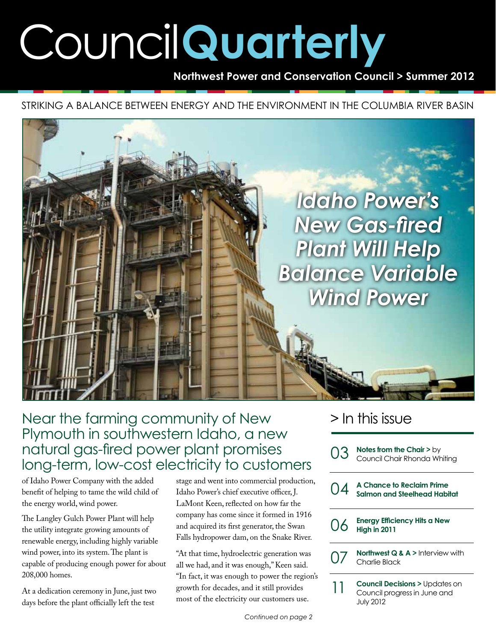# Council**Quarterly**

**Northwest Power and Conservation Council > Summer 2012**

Striking a balance between energy and the environment in the Columbia River Basin



## Near the farming community of New Plymouth in southwestern Idaho, a new natural gas-fired power plant promises long-term, low-cost electricity to customers

of Idaho Power Company with the added benefit of helping to tame the wild child of the energy world, wind power.

The Langley Gulch Power Plant will help the utility integrate growing amounts of renewable energy, including highly variable wind power, into its system. The plant is capable of producing enough power for about 208,000 homes.

At a dedication ceremony in June, just two days before the plant officially left the test

stage and went into commercial production, Idaho Power's chief executive officer, J. LaMont Keen, reflected on how far the company has come since it formed in 1916 and acquired its first generator, the Swan Falls hydropower dam, on the Snake River.

"At that time, hydroelectric generation was all we had, and it was enough," Keen said. "In fact, it was enough to power the region's growth for decades, and it still provides most of the electricity our customers use.

### > In this issue

|  | O3 | Notes from the Chair $>$ by<br>Council Chair Rhonda Whiting                                  |
|--|----|----------------------------------------------------------------------------------------------|
|  | 04 | A Chance to Reclaim Prime<br>Salmon and Steelhead Habitat                                    |
|  | 06 | <b>Energy Efficiency Hits a New</b><br>High in 2011                                          |
|  | 07 | Northwest $Q & A$ > Interview with<br>Charlie Black                                          |
|  | 11 | <b>Council Decisions &gt; Updates on</b><br>Council progress in June and<br><b>July 2012</b> |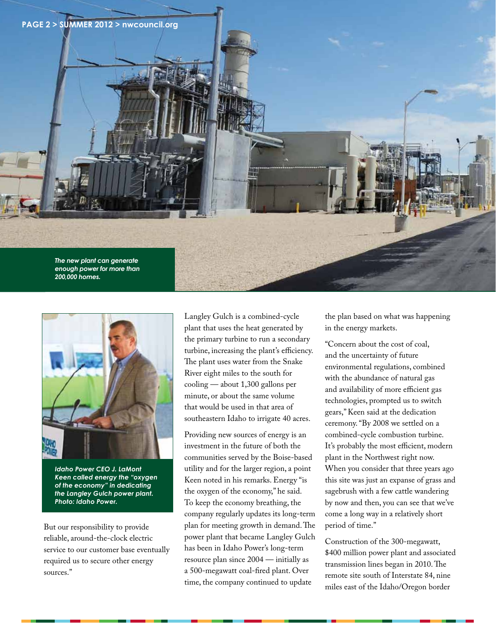



*Idaho Power CEO J. LaMont Keen called energy the "oxygen of the economy" in dedicating the Langley Gulch power plant. Photo: Idaho Power.*

But our responsibility to provide reliable, around-the-clock electric service to our customer base eventually required us to secure other energy sources."

Langley Gulch is a combined-cycle plant that uses the heat generated by the primary turbine to run a secondary turbine, increasing the plant's efficiency. The plant uses water from the Snake River eight miles to the south for cooling — about 1,300 gallons per minute, or about the same volume that would be used in that area of southeastern Idaho to irrigate 40 acres.

Providing new sources of energy is an investment in the future of both the communities served by the Boise-based utility and for the larger region, a point Keen noted in his remarks. Energy "is the oxygen of the economy," he said. To keep the economy breathing, the company regularly updates its long-term plan for meeting growth in demand. The power plant that became Langley Gulch has been in Idaho Power's long-term resource plan since 2004 — initially as a 500-megawatt coal-fired plant. Over time, the company continued to update

the plan based on what was happening in the energy markets.

"Concern about the cost of coal, and the uncertainty of future environmental regulations, combined with the abundance of natural gas and availability of more efficient gas technologies, prompted us to switch gears," Keen said at the dedication ceremony. "By 2008 we settled on a combined-cycle combustion turbine. It's probably the most efficient, modern plant in the Northwest right now. When you consider that three years ago this site was just an expanse of grass and sagebrush with a few cattle wandering by now and then, you can see that we've come a long way in a relatively short period of time."

Construction of the 300-megawatt, \$400 million power plant and associated transmission lines began in 2010. The remote site south of Interstate 84, nine miles east of the Idaho/Oregon border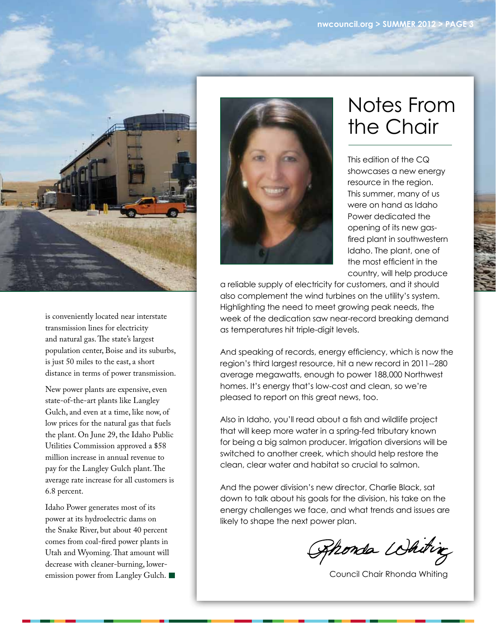

is conveniently located near interstate transmission lines for electricity and natural gas. The state's largest population center, Boise and its suburbs, is just 50 miles to the east, a short distance in terms of power transmission.

New power plants are expensive, even state-of-the-art plants like Langley Gulch, and even at a time, like now, of low prices for the natural gas that fuels the plant. On June 29, the Idaho Public Utilities Commission approved a \$58 million increase in annual revenue to pay for the Langley Gulch plant. The average rate increase for all customers is 6.8 percent.

Idaho Power generates most of its power at its hydroelectric dams on the Snake River, but about 40 percent comes from coal-fired power plants in Utah and Wyoming. That amount will decrease with cleaner-burning, loweremission power from Langley Gulch.



## Notes From the Chair

This edition of the CQ showcases a new energy resource in the region. This summer, many of us were on hand as Idaho Power dedicated the opening of its new gasfired plant in southwestern Idaho. The plant, one of the most efficient in the country, will help produce

a reliable supply of electricity for customers, and it should also complement the wind turbines on the utility's system. Highlighting the need to meet growing peak needs, the week of the dedication saw near-record breaking demand as temperatures hit triple-digit levels.

And speaking of records, energy efficiency, which is now the region's third largest resource, hit a new record in 2011--280 average megawatts, enough to power 188,000 Northwest homes. It's energy that's low-cost and clean, so we're pleased to report on this great news, too.

Also in Idaho, you'll read about a fish and wildlife project that will keep more water in a spring-fed tributary known for being a big salmon producer. Irrigation diversions will be switched to another creek, which should help restore the clean, clear water and habitat so crucial to salmon.

And the power division's new director, Charlie Black, sat down to talk about his goals for the division, his take on the energy challenges we face, and what trends and issues are likely to shape the next power plan.

Ahonda Whiting

Council Chair Rhonda Whiting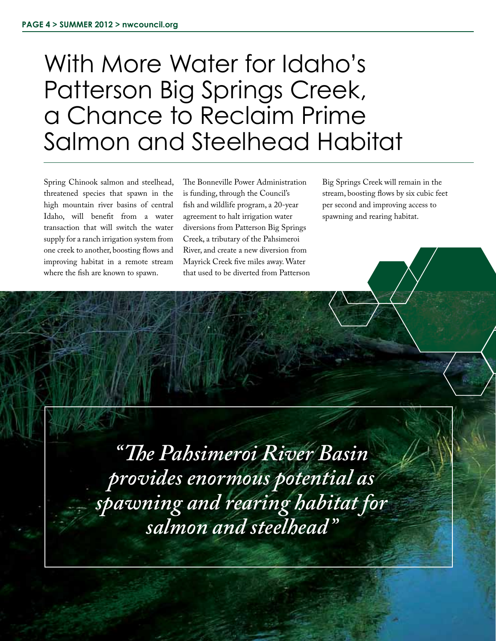## With More Water for Idaho's Patterson Big Springs Creek, a Chance to Reclaim Prime Salmon and Steelhead Habitat

Spring Chinook salmon and steelhead, threatened species that spawn in the high mountain river basins of central Idaho, will benefit from a water transaction that will switch the water supply for a ranch irrigation system from one creek to another, boosting flows and improving habitat in a remote stream where the fish are known to spawn.

The Bonneville Power Administration is funding, through the Council's fish and wildlife program, a 20-year agreement to halt irrigation water diversions from Patterson Big Springs Creek, a tributary of the Pahsimeroi River, and create a new diversion from Mayrick Creek five miles away. Water that used to be diverted from Patterson Big Springs Creek will remain in the stream, boosting flows by six cubic feet per second and improving access to spawning and rearing habitat.

*"The Pahsimeroi River Basin provides enormous potential as spawning and rearing habitat for salmon and steelhead"*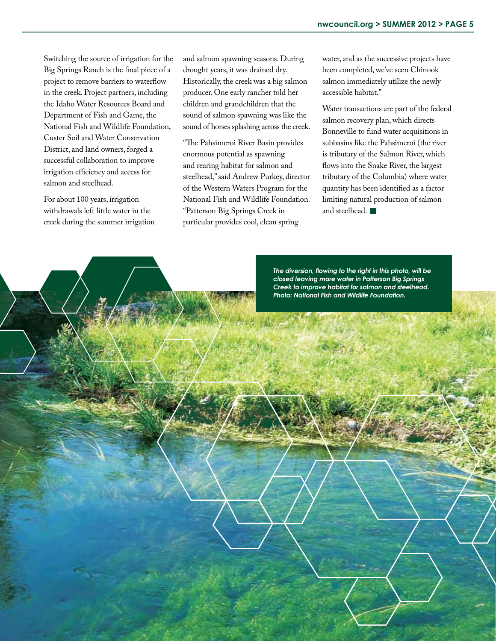Switching the source of irrigation for the Big Springs Ranch is the final piece of a project to remove barriers to waterflow in the creek. Project partners, including the Idaho Water Resources Board and Department of Fish and Game, the National Fish and Wildlife Foundation, Custer Soil and Water Conservation District, and land owners, forged a successful collaboration to improve irrigation efficiency and access for salmon and steelhead.

For about 100 years, irrigation withdrawals left little water in the creek during the summer irrigation

and salmon spawning seasons. During drought years, it was drained dry. Historically, the creek was a big salmon producer. One early rancher told her children and grandchildren that the sound of salmon spawning was like the sound of horses splashing across the creek.

"The Pahsimeroi River Basin provides enormous potential as spawning and rearing habitat for salmon and steelhead," said Andrew Purkey, director of the Western Waters Program for the National Fish and Wildlife Foundation. "Patterson Big Springs Creek in particular provides cool, clean spring

water, and as the successive projects have been completed, we've seen Chinook salmon immediately utilize the newly accessible habitat."

Water transactions are part of the federal salmon recovery plan, which directs Bonneville to fund water acquisitions in subbasins like the Pahsimeroi (the river is tributary of the Salmon River, which flows into the Snake River, the largest tributary of the Columbia) where water quantity has been identified as a factor limiting natural production of salmon and steelhead.

*The diversion, flowing to the right in this photo, will be closed leaving more water in Patterson Big Springs Creek to improve habitat for salmon and steelhead. Photo: National Fish and Wildlife Foundation.*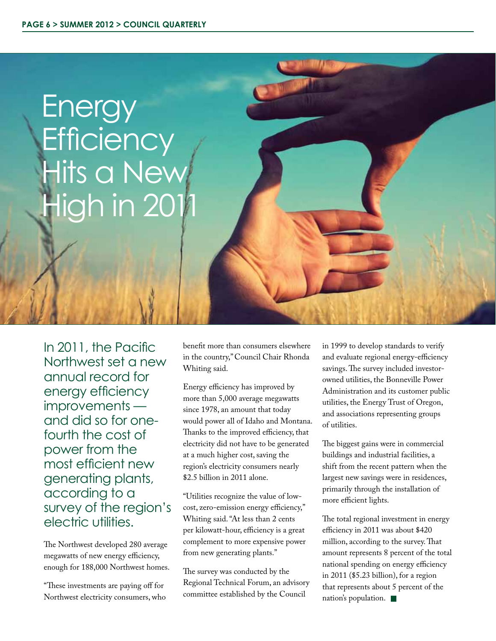

In 2011, the Pacific Northwest set a new annual record for energy efficiency improvements and did so for onefourth the cost of power from the most efficient new generating plants, according to a survey of the region's electric utilities.

The Northwest developed 280 average megawatts of new energy efficiency, enough for 188,000 Northwest homes.

"These investments are paying off for Northwest electricity consumers, who benefit more than consumers elsewhere in the country," Council Chair Rhonda Whiting said.

Energy efficiency has improved by more than 5,000 average megawatts since 1978, an amount that today would power all of Idaho and Montana. Thanks to the improved efficiency, that electricity did not have to be generated at a much higher cost, saving the region's electricity consumers nearly \$2.5 billion in 2011 alone.

"Utilities recognize the value of lowcost, zero-emission energy efficiency," Whiting said. "At less than 2 cents per kilowatt-hour, efficiency is a great complement to more expensive power from new generating plants."

The survey was conducted by the Regional Technical Forum, an advisory committee established by the Council

in 1999 to develop standards to verify and evaluate regional energy-efficiency savings. The survey included investorowned utilities, the Bonneville Power Administration and its customer public utilities, the Energy Trust of Oregon, and associations representing groups of utilities.

The biggest gains were in commercial buildings and industrial facilities, a shift from the recent pattern when the largest new savings were in residences, primarily through the installation of more efficient lights.

The total regional investment in energy efficiency in 2011 was about \$420 million, according to the survey. That amount represents 8 percent of the total national spending on energy efficiency in 2011 (\$5.23 billion), for a region that represents about 5 percent of the nation's population.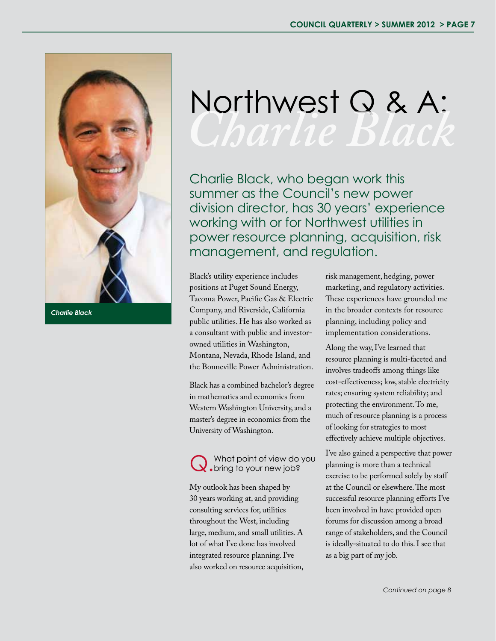

*Charlie Black*

## Northwest Q & A: *Charlie Black*

Charlie Black, who began work this summer as the Council's new power division director, has 30 years' experience working with or for Northwest utilities in power resource planning, acquisition, risk management, and regulation.

Black's utility experience includes positions at Puget Sound Energy, Tacoma Power, Pacific Gas & Electric Company, and Riverside, California public utilities. He has also worked as a consultant with public and investorowned utilities in Washington, Montana, Nevada, Rhode Island, and the Bonneville Power Administration.

Black has a combined bachelor's degree in mathematics and economics from Western Washington University, and a master's degree in economics from the University of Washington.

What point of view do you **bring to your new job?** 

My outlook has been shaped by 30 years working at, and providing consulting services for, utilities throughout the West, including large, medium, and small utilities. A lot of what I've done has involved integrated resource planning. I've also worked on resource acquisition, risk management, hedging, power marketing, and regulatory activities. These experiences have grounded me in the broader contexts for resource planning, including policy and implementation considerations.

Along the way, I've learned that resource planning is multi-faceted and involves tradeoffs among things like cost-effectiveness; low, stable electricity rates; ensuring system reliability; and protecting the environment. To me, much of resource planning is a process of looking for strategies to most effectively achieve multiple objectives.

I've also gained a perspective that power planning is more than a technical exercise to be performed solely by staff at the Council or elsewhere. The most successful resource planning efforts I've been involved in have provided open forums for discussion among a broad range of stakeholders, and the Council is ideally-situated to do this. I see that as a big part of my job.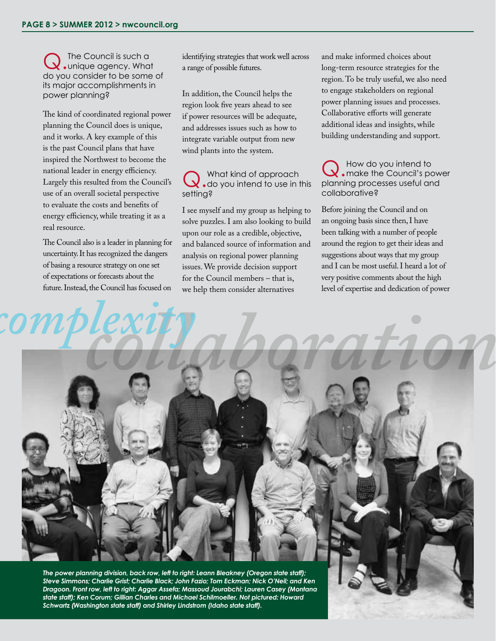Q. The Council is such a<br>Q. unique agency. What do you consider to be some of its major accomplishments in power planning?

The kind of coordinated regional power planning the Council does is unique, and it works. A key example of this is the past Council plans that have inspired the Northwest to become the national leader in energy efficiency. Largely this resulted from the Council's use of an overall societal perspective to evaluate the costs and benefits of energy efficiency, while treating it as a real resource.

The Council also is a leader in planning for uncertainty. It has recognized the dangers of basing a resource strategy on one set of expectations or forecasts about the future. Instead, the Council has focused on

identifying strategies that work well across a range of possible futures.

In addition, the Council helps the region look five years ahead to see if power resources will be adequate, and addresses issues such as how to integrate variable output from new wind plants into the system.

Q. What kind of approach<br>
do you intend to use in this setting?

I see myself and my group as helping to solve puzzles. I am also looking to build upon our role as a credible, objective, and balanced source of information and analysis on regional power planning issues. We provide decision support for the Council members – that is, we help them consider alternatives

and make informed choices about long-term resource strategies for the region. To be truly useful, we also need to engage stakeholders on regional power planning issues and processes. Collaborative efforts will generate additional ideas and insights, while building understanding and support.

Q. How do you intend to<br>Q. make the Council's power planning processes useful and collaborative?

Before joining the Council and on an ongoing basis since then, I have been talking with a number of people around the region to get their ideas and suggestions about ways that my group and I can be most useful. I heard a lot of very positive comments about the high level of expertise and dedication of power



*state staff); Ken Corum; Gillian Charles and Michael Schilmoeller. Not pictured: Howard Schwartz (Washington state staff) and Shirley Lindstrom (Idaho state staff).*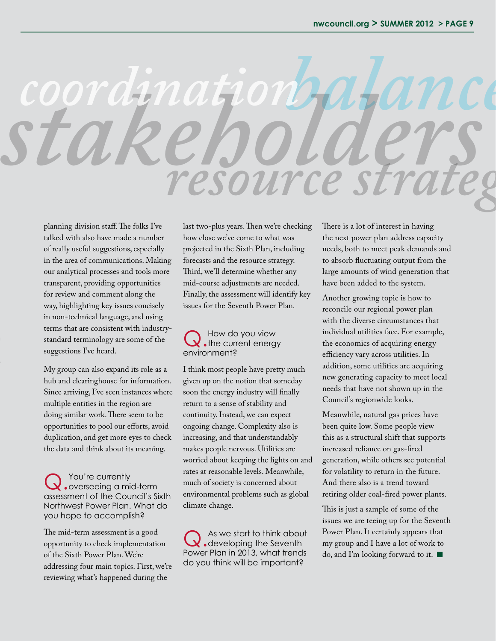

planning division staff. The folks I've talked with also have made a number of really useful suggestions, especially in the area of communications. Making our analytical processes and tools more transparent, providing opportunities for review and comment along the way, highlighting key issues concisely in non-technical language, and using terms that are consistent with industrystandard terminology are some of the suggestions I've heard.

My group can also expand its role as a hub and clearinghouse for information. Since arriving, I've seen instances where multiple entities in the region are doing similar work. There seem to be opportunities to pool our efforts, avoid duplication, and get more eyes to check the data and think about its meaning.

Q.You're currently overseeing a mid-term assessment of the Council's Sixth Northwest Power Plan. What do you hope to accomplish?

The mid-term assessment is a good opportunity to check implementation of the Sixth Power Plan. We're addressing four main topics. First, we're reviewing what's happened during the

last two-plus years. Then we're checking how close we've come to what was projected in the Sixth Plan, including forecasts and the resource strategy. Third, we'll determine whether any mid-course adjustments are needed. Finally, the assessment will identify key issues for the Seventh Power Plan.

### Q. How do you view<br>
the current energy environment?

I think most people have pretty much given up on the notion that someday soon the energy industry will finally return to a sense of stability and continuity. Instead, we can expect ongoing change. Complexity also is increasing, and that understandably makes people nervous. Utilities are worried about keeping the lights on and rates at reasonable levels. Meanwhile, much of society is concerned about environmental problems such as global climate change.

Q.As we start to think about developing the Seventh Power Plan in 2013, what trends do you think will be important?

There is a lot of interest in having the next power plan address capacity needs, both to meet peak demands and to absorb fluctuating output from the large amounts of wind generation that have been added to the system.

Another growing topic is how to reconcile our regional power plan with the diverse circumstances that individual utilities face. For example, the economics of acquiring energy efficiency vary across utilities. In addition, some utilities are acquiring new generating capacity to meet local needs that have not shown up in the Council's regionwide looks.

Meanwhile, natural gas prices have been quite low. Some people view this as a structural shift that supports increased reliance on gas-fired generation, while others see potential for volatility to return in the future. And there also is a trend toward retiring older coal-fired power plants.

This is just a sample of some of the issues we are teeing up for the Seventh Power Plan. It certainly appears that my group and I have a lot of work to do, and I'm looking forward to it.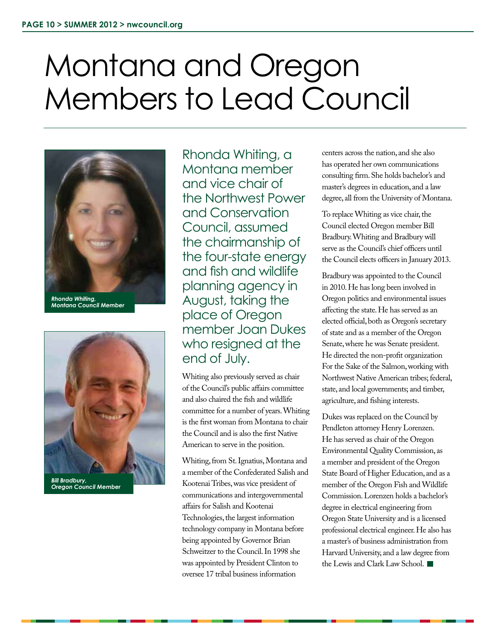## Montana and Oregon Members to Lead Council



*Rhonda Whiting, Montana Council Member*



*Bill Bradbury, Oregon Council Member*

Rhonda Whiting, a Montana member and vice chair of the Northwest Power and Conservation Council, assumed the chairmanship of the four-state energy and fish and wildlife planning agency in August, taking the place of Oregon member Joan Dukes who resigned at the end of July.

Whiting also previously served as chair of the Council's public affairs committee and also chaired the fish and wildlife committee for a number of years. Whiting is the first woman from Montana to chair the Council and is also the first Native American to serve in the position.

Whiting, from St. Ignatius, Montana and a member of the Confederated Salish and Kootenai Tribes, was vice president of communications and intergovernmental affairs for Salish and Kootenai Technologies, the largest information technology company in Montana before being appointed by Governor Brian Schweitzer to the Council. In 1998 she was appointed by President Clinton to oversee 17 tribal business information

centers across the nation, and she also has operated her own communications consulting firm. She holds bachelor's and master's degrees in education, and a law degree, all from the University of Montana.

To replace Whiting as vice chair, the Council elected Oregon member Bill Bradbury. Whiting and Bradbury will serve as the Council's chief officers until the Council elects officers in January 2013.

Bradbury was appointed to the Council in 2010. He has long been involved in Oregon politics and environmental issues affecting the state. He has served as an elected official, both as Oregon's secretary of state and as a member of the Oregon Senate, where he was Senate president. He directed the non-profit organization For the Sake of the Salmon, working with Northwest Native American tribes; federal, state, and local governments; and timber, agriculture, and fishing interests.

Dukes was replaced on the Council by Pendleton attorney Henry Lorenzen. He has served as chair of the Oregon Environmental Quality Commission, as a member and president of the Oregon State Board of Higher Education, and as a member of the Oregon Fish and Wildlife Commission. Lorenzen holds a bachelor's degree in electrical engineering from Oregon State University and is a licensed professional electrical engineer. He also has a master's of business administration from Harvard University, and a law degree from the Lewis and Clark Law School.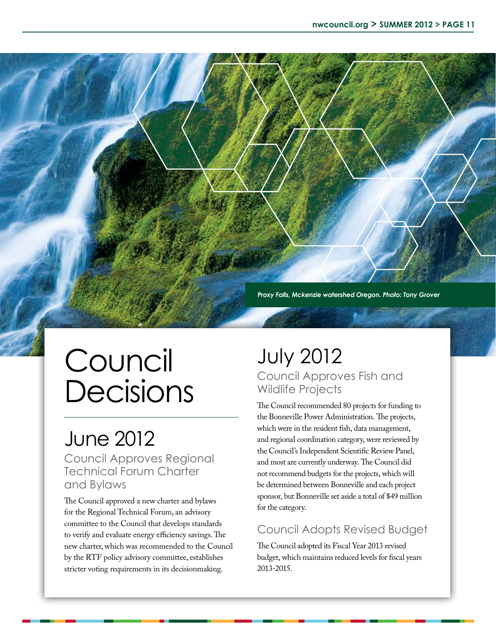*Proxy Falls, Mckenzie watershed Oregon. Photo: Tony Grover*

## Council Decisions

## June 2012

Council Approves Regional Technical Forum Charter and Bylaws

The Council approved a new charter and bylaws for the Regional Technical Forum, an advisory committee to the Council that develops standards to verify and evaluate energy efficiency savings. The new charter, which was recommended to the Council by the RTF policy advisory committee, establishes stricter voting requirements in its decisionmaking.

### July 2012 Council Approves Fish and Wildlife Projects

The Council recommended 80 projects for funding to the Bonneville Power Administration. The projects, which were in the resident fish, data management, and regional coordination category, were reviewed by the Council's Independent Scientific Review Panel, and most are currently underway. The Council did not recommend budgets for the projects, which will be determined between Bonneville and each project sponsor, but Bonneville set aside a total of \$49 million for the category.

#### Council Adopts Revised Budget

The Council adopted its Fiscal Year 2013 revised budget, which maintains reduced levels for fiscal years 2013-2015.